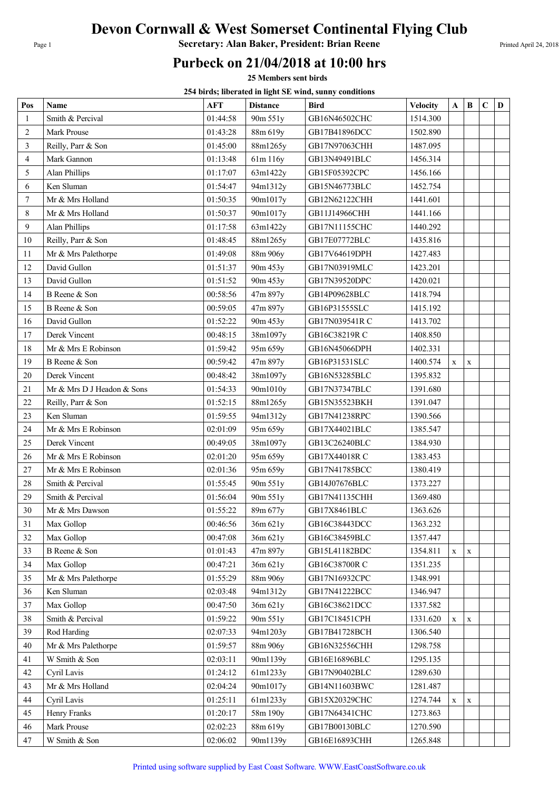## Devon Cornwall & West Somerset Continental Flying Club

Page 1 **Secretary: Alan Baker, President: Brian Reene** Printed April 24, 2018

## Purbeck on 21/04/2018 at 10:00 hrs

25 Members sent birds

254 birds; liberated in light SE wind, sunny conditions

| Pos            | Name                       | <b>AFT</b> | <b>Distance</b> | Bird          | <b>Velocity</b> | A            | $\bf{B}$    | $\mathbf C$ | D |
|----------------|----------------------------|------------|-----------------|---------------|-----------------|--------------|-------------|-------------|---|
| $\mathbf{1}$   | Smith & Percival           | 01:44:58   | 90m 551y        | GB16N46502CHC | 1514.300        |              |             |             |   |
| $\overline{2}$ | Mark Prouse                | 01:43:28   | 88m 619y        | GB17B41896DCC | 1502.890        |              |             |             |   |
| 3              | Reilly, Parr & Son         | 01:45:00   | 88m1265y        | GB17N97063CHH | 1487.095        |              |             |             |   |
| 4              | Mark Gannon                | 01:13:48   | 61m 116y        | GB13N49491BLC | 1456.314        |              |             |             |   |
| 5              | Alan Phillips              | 01:17:07   | 63m1422y        | GB15F05392CPC | 1456.166        |              |             |             |   |
| 6              | Ken Sluman                 | 01:54:47   | 94m1312y        | GB15N46773BLC | 1452.754        |              |             |             |   |
| $\overline{7}$ | Mr & Mrs Holland           | 01:50:35   | 90m1017y        | GB12N62122CHH | 1441.601        |              |             |             |   |
| 8              | Mr & Mrs Holland           | 01:50:37   | 90m1017y        | GB11J14966CHH | 1441.166        |              |             |             |   |
| 9              | Alan Phillips              | 01:17:58   | 63m1422y        | GB17N11155CHC | 1440.292        |              |             |             |   |
| 10             | Reilly, Parr & Son         | 01:48:45   | 88m1265y        | GB17E07772BLC | 1435.816        |              |             |             |   |
| 11             | Mr & Mrs Palethorpe        | 01:49:08   | 88m 906y        | GB17V64619DPH | 1427.483        |              |             |             |   |
| 12             | David Gullon               | 01:51:37   | 90m 453y        | GB17N03919MLC | 1423.201        |              |             |             |   |
| 13             | David Gullon               | 01:51:52   | 90m 453y        | GB17N39520DPC | 1420.021        |              |             |             |   |
| 14             | B Reene & Son              | 00:58:56   | 47m 897y        | GB14P09628BLC | 1418.794        |              |             |             |   |
| 15             | B Reene & Son              | 00:59:05   | 47m 897y        | GB16P31555SLC | 1415.192        |              |             |             |   |
| 16             | David Gullon               | 01:52:22   | 90m 453y        | GB17N039541RC | 1413.702        |              |             |             |   |
| 17             | Derek Vincent              | 00:48:15   | 38m1097y        | GB16C38219R C | 1408.850        |              |             |             |   |
| 18             | Mr & Mrs E Robinson        | 01:59:42   | 95m 659y        | GB16N45066DPH | 1402.331        |              |             |             |   |
| 19             | B Reene & Son              | 00:59:42   | 47m 897y        | GB16P31531SLC | 1400.574        | $\mathbf{X}$ | $\mathbf X$ |             |   |
| 20             | Derek Vincent              | 00:48:42   | 38m1097y        | GB16N53285BLC | 1395.832        |              |             |             |   |
| 21             | Mr & Mrs D J Headon & Sons | 01:54:33   | 90m1010y        | GB17N37347BLC | 1391.680        |              |             |             |   |
| 22             | Reilly, Parr & Son         | 01:52:15   | 88m1265y        | GB15N35523BKH | 1391.047        |              |             |             |   |
| 23             | Ken Sluman                 | 01:59:55   | 94m1312y        | GB17N41238RPC | 1390.566        |              |             |             |   |
| 24             | Mr & Mrs E Robinson        | 02:01:09   | 95m 659y        | GB17X44021BLC | 1385.547        |              |             |             |   |
| 25             | Derek Vincent              | 00:49:05   | 38m1097y        | GB13C26240BLC | 1384.930        |              |             |             |   |
| 26             | Mr & Mrs E Robinson        | 02:01:20   | 95m 659y        | GB17X44018R C | 1383.453        |              |             |             |   |
| 27             | Mr & Mrs E Robinson        | 02:01:36   | 95m 659y        | GB17N41785BCC | 1380.419        |              |             |             |   |
| $28\,$         | Smith & Percival           | 01:55:45   | 90m 551y        | GB14J07676BLC | 1373.227        |              |             |             |   |
| 29             | Smith & Percival           | 01:56:04   | 90m 551y        | GB17N41135CHH | 1369.480        |              |             |             |   |
| 30             | Mr & Mrs Dawson            | 01:55:22   | 89m 677y        | GB17X8461BLC  | 1363.626        |              |             |             |   |
| 31             | Max Gollop                 | 00:46:56   | 36m 621y        | GB16C38443DCC | 1363.232        |              |             |             |   |
| 32             | Max Gollop                 | 00:47:08   | 36m 621y        | GB16C38459BLC | 1357.447        |              |             |             |   |
| 33             | B Reene & Son              | 01:01:43   | 47m 897y        | GB15L41182BDC | 1354.811        | X            | $\mathbf X$ |             |   |
| 34             | Max Gollop                 | 00:47:21   | 36m 621y        | GB16C38700R C | 1351.235        |              |             |             |   |
| 35             | Mr & Mrs Palethorpe        | 01:55:29   | 88m 906y        | GB17N16932CPC | 1348.991        |              |             |             |   |
| 36             | Ken Sluman                 | 02:03:48   | 94m1312y        | GB17N41222BCC | 1346.947        |              |             |             |   |
| 37             | Max Gollop                 | 00:47:50   | 36m 621y        | GB16C38621DCC | 1337.582        |              |             |             |   |
| 38             | Smith & Percival           | 01:59:22   | 90m 551y        | GB17C18451CPH | 1331.620        | X            | X           |             |   |
| 39             | Rod Harding                | 02:07:33   | 94m1203y        | GB17B41728BCH | 1306.540        |              |             |             |   |
| 40             | Mr & Mrs Palethorpe        | 01:59:57   | 88m 906y        | GB16N32556CHH | 1298.758        |              |             |             |   |
| 41             | W Smith & Son              | 02:03:11   | 90m1139y        | GB16E16896BLC | 1295.135        |              |             |             |   |
| 42             | Cyril Lavis                | 01:24:12   | 61m1233y        | GB17N90402BLC | 1289.630        |              |             |             |   |
| 43             | Mr & Mrs Holland           | 02:04:24   | 90m1017y        | GB14N11603BWC | 1281.487        |              |             |             |   |
| 44             | Cyril Lavis                | 01:25:11   | 61m1233y        | GB15X20329CHC | 1274.744        | X            | $\mathbf X$ |             |   |
| 45             | Henry Franks               | 01:20:17   | 58m 190y        | GB17N64341CHC | 1273.863        |              |             |             |   |
| 46             | Mark Prouse                | 02:02:23   | 88m 619y        | GB17B00130BLC | 1270.590        |              |             |             |   |
| 47             | W Smith & Son              | 02:06:02   | 90m1139y        | GB16E16893CHH | 1265.848        |              |             |             |   |